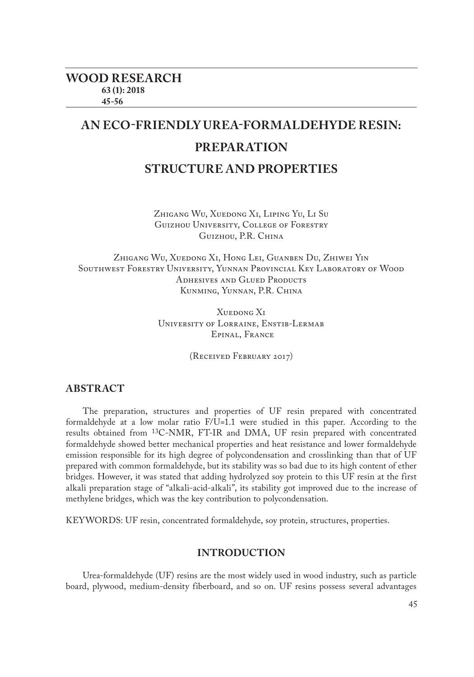# **AN ECO-FRIENDLY UREA-FORMALDEHYDE RESIN: PREPARATION STRUCTURE AND PROPERTIES**

Zhigang Wu, Xuedong Xi, Liping Yu, Li Su Guizhou University, College of Forestry Guizhou, P.R. China

Zhigang Wu, Xuedong Xi, Hong Lei, Guanben Du, Zhiwei Yin Southwest Forestry University, Yunnan Provincial Key Laboratory of Wood ADHESIVES AND GLUED PRODUCTS Kunming, Yunnan, P.R. China

> Xuedong X<sub>I</sub> University of Lorraine, Enstib-Lermab Epinal, France

> > (Received February 2017)

# **ABSTRACT**

The preparation, structures and properties of UF resin prepared with concentrated formaldehyde at a low molar ratio F/U=1.1 were studied in this paper. According to the results obtained from 13C-NMR, FT-IR and DMA, UF resin prepared with concentrated formaldehyde showed better mechanical properties and heat resistance and lower formaldehyde emission responsible for its high degree of polycondensation and crosslinking than that of UF prepared with common formaldehyde, but its stability was so bad due to its high content of ether bridges. However, it was stated that adding hydrolyzed soy protein to this UF resin at the first alkali preparation stage of "alkali-acid-alkali", its stability got improved due to the increase of methylene bridges, which was the key contribution to polycondensation.

KEYWORDS: UF resin, concentrated formaldehyde, soy protein, structures, properties.

# **INTRODUCTION**

Urea-formaldehyde (UF) resins are the most widely used in wood industry, such as particle board, plywood, medium-density fiberboard, and so on. UF resins possess several advantages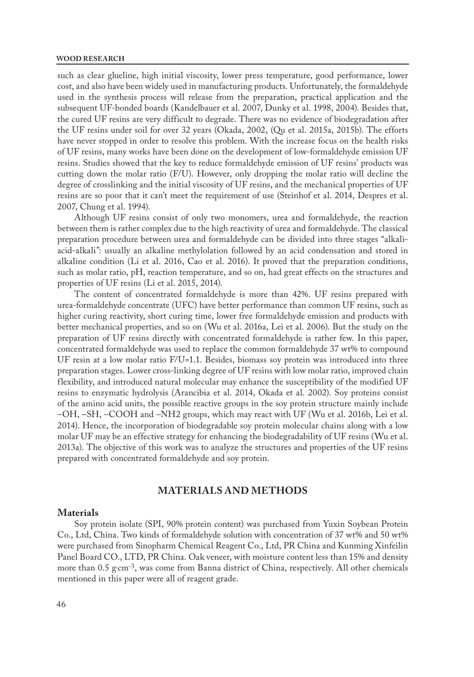#### **WOOD RESEARCH**

such as clear glueline, high initial viscosity, lower press temperature, good performance, lower cost, and also have been widely used in manufacturing products. Unfortunately, the formaldehyde used in the synthesis process will release from the preparation, practical application and the subsequent UF-bonded boards (Kandelbauer et al. 2007, Dunky et al. 1998, 2004). Besides that, the cured UF resins are very difficult to degrade. There was no evidence of biodegradation after the UF resins under soil for over 32 years (Okada, 2002, (Qu et al. 2015a, 2015b). The efforts have never stopped in order to resolve this problem. With the increase focus on the health risks of UF resins, many works have been done on the development of low-formaldehyde emission UF resins. Studies showed that the key to reduce formaldehyde emission of UF resins' products was cutting down the molar ratio (F/U). However, only dropping the molar ratio will decline the degree of crosslinking and the initial viscosity of UF resins, and the mechanical properties of UF resins are so poor that it can't meet the requirement of use (Steinhof et al. 2014, Despres et al. 2007, Chung et al. 1994).

Although UF resins consist of only two monomers, urea and formaldehyde, the reaction between them is rather complex due to the high reactivity of urea and formaldehyde. The classical preparation procedure between urea and formaldehyde can be divided into three stages "alkaliacid-alkali": usually an alkaline methylolation followed by an acid condensation and stored in alkaline condition (Li et al. 2016, Cao et al. 2016). It proved that the preparation conditions, such as molar ratio, pH, reaction temperature, and so on, had great effects on the structures and properties of UF resins (Li et al. 2015, 2014).

The content of concentrated formaldehyde is more than 42%. UF resins prepared with urea-formaldehyde concentrate (UFC) have better performance than common UF resins, such as higher curing reactivity, short curing time, lower free formaldehyde emission and products with better mechanical properties, and so on (Wu et al. 2016a, Lei et al. 2006). But the study on the preparation of UF resins directly with concentrated formaldehyde is rather few. In this paper, concentrated formaldehyde was used to replace the common formaldehyde 37 wt% to compound UF resin at a low molar ratio F/U=1.1. Besides, biomass soy protein was introduced into three preparation stages. Lower cross-linking degree of UF resins with low molar ratio, improved chain flexibility, and introduced natural molecular may enhance the susceptibility of the modified UF resins to enzymatic hydrolysis (Arancibia et al. 2014, Okada et al. 2002). Soy proteins consist of the amino acid units, the possible reactive groups in the soy protein structure mainly include –OH, –SH, –COOH and –NH2 groups, which may react with UF (Wu et al. 2016b, Lei et al. 2014). Hence, the incorporation of biodegradable soy protein molecular chains along with a low molar UF may be an effective strategy for enhancing the biodegradability of UF resins (Wu et al. 2013a). The objective of this work was to analyze the structures and properties of the UF resins prepared with concentrated formaldehyde and soy protein.

# **MATERIALS AND METHODS**

### **Materials**

Soy protein isolate (SPI, 90% protein content) was purchased from Yuxin Soybean Protein Co., Ltd, China. Two kinds of formaldehyde solution with concentration of 37 wt% and 50 wt% were purchased from Sinopharm Chemical Reagent Co., Ltd, PR China and Kunming Xinfeilin Panel Board CO., LTD, PR China. Oak veneer, with moisture content less than 15% and density more than 0.5  $\rm g\,cm^{-3}$ , was come from Banna district of China, respectively. All other chemicals mentioned in this paper were all of reagent grade.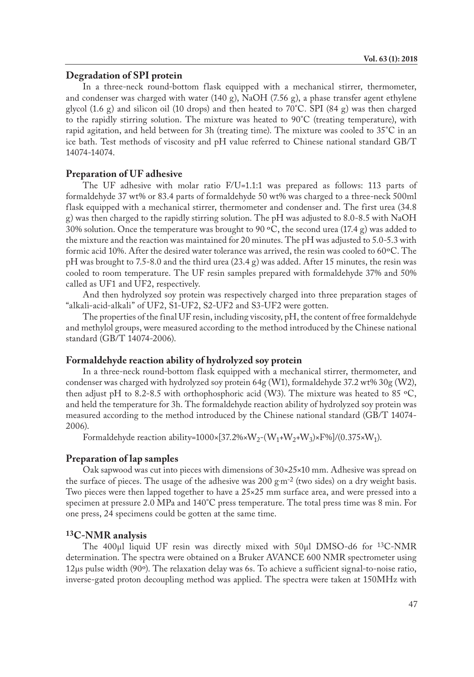# **Degradation of SPI protein**

In a three-neck round-bottom flask equipped with a mechanical stirrer, thermometer, and condenser was charged with water (140 g), NaOH (7.56 g), a phase transfer agent ethylene glycol  $(1.6 \text{ g})$  and silicon oil  $(10 \text{ drops})$  and then heated to  $70^{\circ}$ C. SPI  $(84 \text{ g})$  was then charged to the rapidly stirring solution. The mixture was heated to  $90^{\circ}$ C (treating temperature), with rapid agitation, and held between for 3h (treating time). The mixture was cooled to  $35^{\circ}$ C in an ice bath. Test methods of viscosity and pH value referred to Chinese national standard GB/T 14074-14074.

#### **Preparation of UF adhesive**

The UF adhesive with molar ratio F/U=1.1:1 was prepared as follows: 113 parts of formaldehyde 37 wt% or 83.4 parts of formaldehyde 50 wt% was charged to a three-neck 500ml flask equipped with a mechanical stirrer, thermometer and condenser and. The first urea (34.8 g) was then charged to the rapidly stirring solution. The pH was adjusted to 8.0-8.5 with NaOH 30% solution. Once the temperature was brought to 90  $\degree$ C, the second urea (17.4 g) was added to the mixture and the reaction was maintained for 20 minutes. The pH was adjusted to 5.0-5.3 with formic acid 10%. After the desired water tolerance was arrived, the resin was cooled to 60ºC. The pH was brought to 7.5-8.0 and the third urea (23.4 g) was added. After 15 minutes, the resin was cooled to room temperature. The UF resin samples prepared with formaldehyde 37% and 50% called as UF1 and UF2, respectively.

And then hydrolyzed soy protein was respectively charged into three preparation stages of "alkali-acid-alkali" of UF2, S1-UF2, S2-UF2 and S3-UF2 were gotten.

The properties of the final UF resin, including viscosity, pH, the content of free formaldehyde and methylol groups, were measured according to the method introduced by the Chinese national standard (GB/T 14074-2006).

#### **Formaldehyde reaction ability of hydrolyzed soy protein**

In a three-neck round-bottom flask equipped with a mechanical stirrer, thermometer, and condenser was charged with hydrolyzed soy protein 64g (W1), formaldehyde 37.2 wt% 30g (W2), then adjust pH to 8.2-8.5 with orthophosphoric acid (W3). The mixture was heated to 85 °C, and held the temperature for 3h. The formaldehyde reaction ability of hydrolyzed soy protein was measured according to the method introduced by the Chinese national standard (GB/T 14074- 2006).

Formaldehyde reaction ability=1000×[37.2%×W<sub>2</sub>-(W<sub>1</sub>+W<sub>2</sub>+W<sub>3</sub>)×F%]/(0.375×W<sub>1</sub>).

#### **Preparation of lap samples**

Oak sapwood was cut into pieces with dimensions of  $30\times25\times10$  mm. Adhesive was spread on the surface of pieces. The usage of the adhesive was  $200 \text{ g} \text{m}^{-2}$  (two sides) on a dry weight basis. Two pieces were then lapped together to have a 25×25 mm surface area, and were pressed into a specimen at pressure 2.0 MPa and 140°C press temperature. The total press time was 8 min. For one press, 24 specimens could be gotten at the same time.

#### **13C-NMR analysis**

The 400μl liquid UF resin was directly mixed with 50μl DMSO-d6 for 13C-NMR determination. The spectra were obtained on a Bruker AVANCE 600 NMR spectrometer using 12μs pulse width (90º). The relaxation delay was 6s. To achieve a sufficient signal-to-noise ratio, inverse-gated proton decoupling method was applied. The spectra were taken at 150MHz with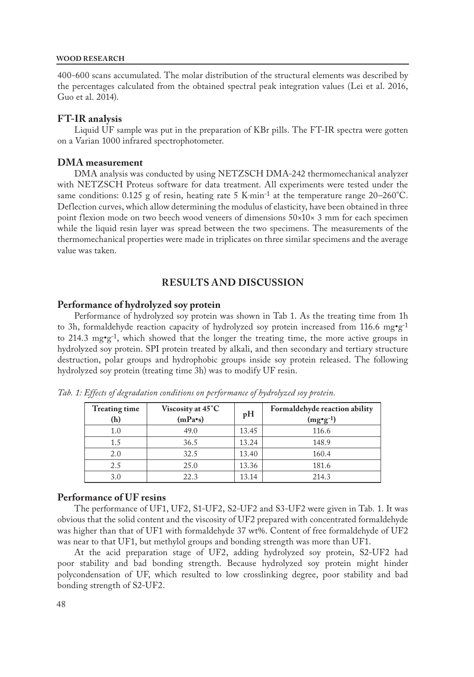#### **WOOD RESEARCH**

400-600 scans accumulated. The molar distribution of the structural elements was described by the percentages calculated from the obtained spectral peak integration values (Lei et al. 2016, Guo et al. 2014).

## **FT-IR analysis**

Liquid UF sample was put in the preparation of KBr pills. The FT-IR spectra were gotten on a Varian 1000 infrared spectrophotometer.

#### **DMA measurement**

DMA analysis was conducted by using NETZSCH DMA-242 thermomechanical analyzer with NETZSCH Proteus software for data treatment. All experiments were tested under the same conditions: 0.125 g of resin, heating rate 5 K·min<sup>-1</sup> at the temperature range 20–260°C. Deflection curves, which allow determining the modulus of elasticity, have been obtained in three point flexion mode on two beech wood veneers of dimensions 50×10× 3 mm for each specimen while the liquid resin layer was spread between the two specimens. The measurements of the thermomechanical properties were made in triplicates on three similar specimens and the average value was taken.

# **RESULTS AND DISCUSSION**

#### **Performance of hydrolyzed soy protein**

Performance of hydrolyzed soy protein was shown in Tab 1. As the treating time from 1h to 3h, formaldehyde reaction capacity of hydrolyzed soy protein increased from 116.6 mg\*g<sup>-1</sup> to 214.3  $mg \cdot g^{-1}$ , which showed that the longer the treating time, the more active groups in hydrolyzed soy protein. SPI protein treated by alkali, and then secondary and tertiary structure destruction, polar groups and hydrophobic groups inside soy protein released. The following hydrolyzed soy protein (treating time 3h) was to modify UF resin.

| <b>Treating time</b><br>(h) | Viscosity at 45°C<br>$(mPa \cdot s)$ | pH    | Formaldehyde reaction ability<br>$(mg\cdot g^{-1})$ |
|-----------------------------|--------------------------------------|-------|-----------------------------------------------------|
| 1.0                         | 49.0                                 | 13.45 | 116.6                                               |
| 1.5                         | 36.5                                 | 13.24 | 148.9                                               |
| 2.0                         | 32.5                                 | 13.40 | 160.4                                               |
| 2.5                         | 25.0                                 | 13.36 | 181.6                                               |
| 3.0                         | 22.3                                 | 13.14 | 214.3                                               |

*Tab. 1: Effects of degradation conditions on performance of hydrolyzed soy protein.*

#### **Performance of UF resins**

The performance of UF1, UF2, S1-UF2, S2-UF2 and S3-UF2 were given in Tab. 1. It was obvious that the solid content and the viscosity of UF2 prepared with concentrated formaldehyde was higher than that of UF1 with formaldehyde 37 wt%. Content of free formaldehyde of UF2 was near to that UF1, but methylol groups and bonding strength was more than UF1.

At the acid preparation stage of UF2, adding hydrolyzed soy protein, S2-UF2 had poor stability and bad bonding strength. Because hydrolyzed soy protein might hinder polycondensation of UF, which resulted to low crosslinking degree, poor stability and bad bonding strength of S2-UF2.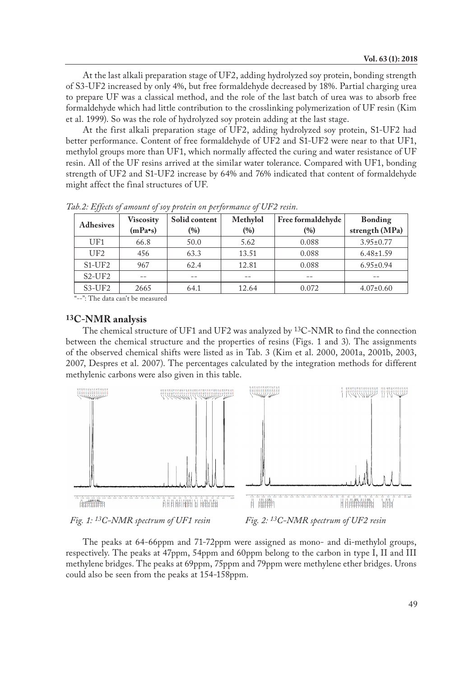At the last alkali preparation stage of UF2, adding hydrolyzed soy protein, bonding strength of S3-UF2 increased by only 4%, but free formaldehyde decreased by 18%. Partial charging urea to prepare UF was a classical method, and the role of the last batch of urea was to absorb free formaldehyde which had little contribution to the crosslinking polymerization of UF resin (Kim et al. 1999). So was the role of hydrolyzed soy protein adding at the last stage.

At the first alkali preparation stage of UF2, adding hydrolyzed soy protein, S1-UF2 had better performance. Content of free formaldehyde of UF2 and S1-UF2 were near to that UF1, methylol groups more than UF1, which normally affected the curing and water resistance of UF resin. All of the UF resins arrived at the similar water tolerance. Compared with UF1, bonding strength of UF2 and S1-UF2 increase by 64% and 76% indicated that content of formaldehyde might affect the final structures of UF.

| <b>Adhesives</b> | <b>Viscosity</b>  | Solid content | Methylol<br>Free formaldehyde |       | Bonding         |  |
|------------------|-------------------|---------------|-------------------------------|-------|-----------------|--|
|                  | $(mPa \bullet s)$ | (%)           | (%)                           | (%)   | strength (MPa)  |  |
| UF1              | 66.8              | 50.0          | 5.62                          | 0.088 | $3.95 \pm 0.77$ |  |
| UF2              | 456               | 63.3          | 13.51                         | 0.088 | $6.48 \pm 1.59$ |  |
| $S1-UF2$         | 967               | 62.4          | 12.81                         | 0.088 | $6.95 \pm 0.94$ |  |
| $S2-UF2$         |                   |               |                               |       |                 |  |
| $S3-UF2$         | 2665              | 64.1          | 12.64                         | 0.072 | $4.07 \pm 0.60$ |  |

*Tab.2: Effects of amount of soy protein on performance of UF2 resin.*

"--": The data can't be measured

# **13C-NMR analysis**

The chemical structure of UF1 and UF2 was analyzed by <sup>13</sup>C-NMR to find the connection between the chemical structure and the properties of resins (Figs. 1 and 3). The assignments of the observed chemical shifts were listed as in Tab. 3 (Kim et al. 2000, 2001a, 2001b, 2003, 2007, Despres et al. 2007). The percentages calculated by the integration methods for different methylenic carbons were also given in this table.



The peaks at 64-66ppm and 71-72ppm were assigned as mono- and di-methylol groups, respectively. The peaks at 47ppm, 54ppm and 60ppm belong to the carbon in type I, II and III methylene bridges. The peaks at 69ppm, 75ppm and 79ppm were methylene ether bridges. Urons could also be seen from the peaks at 154-158ppm.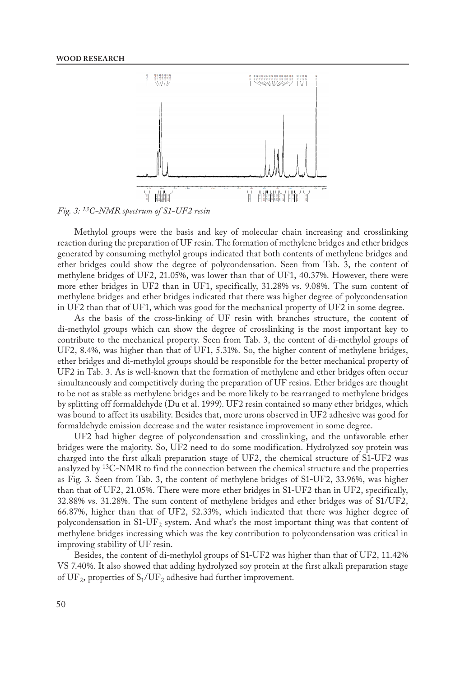

*Fig. 3: 13C-NMR spectrum of S1-UF2 resin*

Methylol groups were the basis and key of molecular chain increasing and crosslinking reaction during the preparation of UF resin. The formation of methylene bridges and ether bridges generated by consuming methylol groups indicated that both contents of methylene bridges and ether bridges could show the degree of polycondensation. Seen from Tab. 3, the content of methylene bridges of UF2, 21.05%, was lower than that of UF1, 40.37%. However, there were more ether bridges in UF2 than in UF1, specifically, 31.28% vs. 9.08%. The sum content of methylene bridges and ether bridges indicated that there was higher degree of polycondensation in UF2 than that of UF1, which was good for the mechanical property of UF2 in some degree.

As the basis of the cross-linking of UF resin with branches structure, the content of di-methylol groups which can show the degree of crosslinking is the most important key to contribute to the mechanical property. Seen from Tab. 3, the content of di-methylol groups of UF2, 8.4%, was higher than that of UF1, 5.31%. So, the higher content of methylene bridges, ether bridges and di-methylol groups should be responsible for the better mechanical property of UF2 in Tab. 3. As is well-known that the formation of methylene and ether bridges often occur simultaneously and competitively during the preparation of UF resins. Ether bridges are thought to be not as stable as methylene bridges and be more likely to be rearranged to methylene bridges by splitting off formaldehyde (Du et al. 1999). UF2 resin contained so many ether bridges, which was bound to affect its usability. Besides that, more urons observed in UF2 adhesive was good for formaldehyde emission decrease and the water resistance improvement in some degree.

UF2 had higher degree of polycondensation and crosslinking, and the unfavorable ether bridges were the majority. So, UF2 need to do some modification. Hydrolyzed soy protein was charged into the first alkali preparation stage of UF2, the chemical structure of S1-UF2 was analyzed by 13C-NMR to find the connection between the chemical structure and the properties as Fig. 3. Seen from Tab. 3, the content of methylene bridges of S1-UF2, 33.96%, was higher than that of UF2, 21.05%. There were more ether bridges in S1-UF2 than in UF2, specifically, 32.88% vs. 31.28%. The sum content of methylene bridges and ether bridges was of S1/UF2, 66.87%, higher than that of UF2, 52.33%, which indicated that there was higher degree of polycondensation in  $S1-UF<sub>2</sub>$  system. And what's the most important thing was that content of methylene bridges increasing which was the key contribution to polycondensation was critical in improving stability of UF resin.

Besides, the content of di-methylol groups of S1-UF2 was higher than that of UF2, 11.42% VS 7.40%. It also showed that adding hydrolyzed soy protein at the first alkali preparation stage of UF<sub>2</sub>, properties of  $S_1/UF_2$  adhesive had further improvement.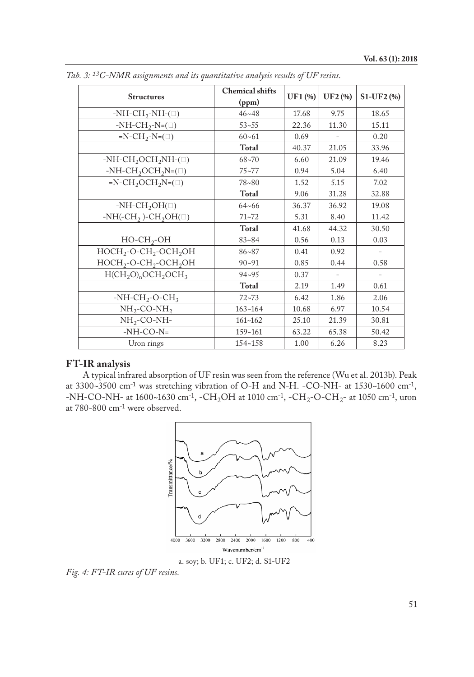| <b>Structures</b>                                 | <b>Chemical shifts</b><br>(ppm) | UF1 (%) | UF2 (%) | S1-UF2 (%)               |
|---------------------------------------------------|---------------------------------|---------|---------|--------------------------|
| $-NH-CH_2-NH-(\square)$                           | $46 - 48$                       | 17.68   | 9.75    | 18.65                    |
| $-NH-CH_2-N=(\square)$                            | $53 - 55$                       | 22.36   | 11.30   | 15.11                    |
| $=N-CH_2-N=(\square)$                             | $60 - 61$                       | 0.69    |         | 0.20                     |
|                                                   | Total                           | 40.37   | 21.05   | 33.96                    |
| -NH-CH <sub>2</sub> OCH <sub>2</sub> NH- $(\Box)$ | $68 - 70$                       | 6.60    | 21.09   | 19.46                    |
| -NH-CH <sub>2</sub> OCH <sub>2</sub> N=( $\Box$ ) | $75 - 77$                       | 0.94    | 5.04    | 6.40                     |
| $=N-CH_2OCH_2N=(\square)$                         | 78~80                           | 1.52    | 5.15    | 7.02                     |
|                                                   | Total                           | 9.06    | 31.28   | 32.88                    |
| $-NH\text{-}CH_2OH(\square)$                      | $64 - 66$                       | 36.37   | 36.92   | 19.08                    |
| $-NH(-CH2)-CH2OH(1)$                              | $71 - 72$                       | 5.31    | 8.40    | 11.42                    |
|                                                   | Total                           | 41.68   | 44.32   | 30.50                    |
| $HO-CH2-OH$                                       | $83 - 84$                       | 0.56    | 0.13    | 0.03                     |
| $HOCH2-O-CH2-OCH2OH$                              | $86 - 87$                       | 0.41    | 0.92    | $\overline{\phantom{a}}$ |
| $HOCH2-O-CH2-OCH2OH$                              | $90 - 91$                       | 0.85    | 0.44    | 0.58                     |
| $H(CH2O)n OCH2OCH3$                               | $94 - 95$                       | 0.37    |         |                          |
|                                                   | Total                           | 2.19    | 1.49    | 0.61                     |
| $-NH-CH_2-O-CH_3$                                 | $72 - 73$                       | 6.42    | 1.86    | 2.06                     |
| $NH_2$ -CO-NH <sub>2</sub>                        | $163 - 164$                     | 10.68   | 6.97    | 10.54                    |
| $NH2-CO-NH-$                                      | $161 - 162$                     | 25.10   | 21.39   | 30.81                    |
| $-NH-CO-N=$                                       | 159~161                         | 63.22   | 65.38   | 50.42                    |
| Uron rings                                        | 154~158                         | 1.00    | 6.26    | 8.23                     |

*Tab. 3: 13C-NMR assignments and its quantitative analysis results of UF resins.* 

# **FT-IR analysis**

A typical infrared absorption of UF resin was seen from the reference (Wu et al. 2013b). Peak at 3300~3500 cm-1 was stretching vibration of O-H and N-H. -CO-NH- at 1530~1600 cm-1, -NH-CO-NH- at 1600~1630 cm<sup>-1</sup>, -CH<sub>2</sub>OH at 1010 cm<sup>-1</sup>, -CH<sub>2</sub>-O-CH<sub>2</sub>- at 1050 cm<sup>-1</sup>, uron at 780-800 cm-1 were observed.



a. soy; b. UF1; c. UF2; d. S1-UF2

*Fig. 4: FT-IR cures of UF resins.*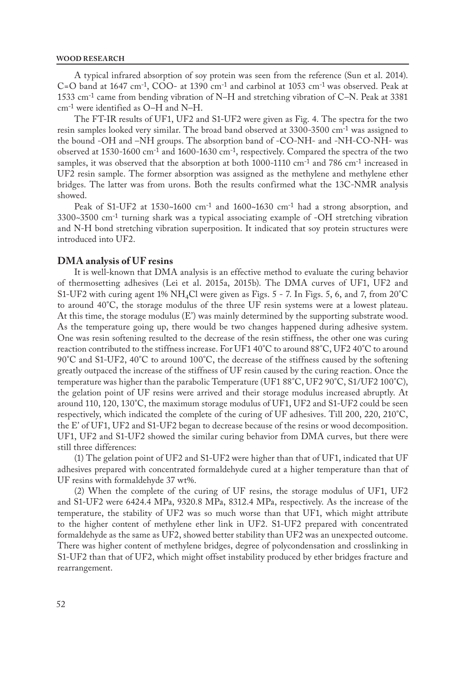#### **WOOD RESEARCH**

A typical infrared absorption of soy protein was seen from the reference (Sun et al. 2014). C=O band at 1647 cm-1, COO- at 1390 cm-1 and carbinol at 1053 cm-1 was observed. Peak at 1533 cm-1 came from bending vibration of N–H and stretching vibration of C–N. Peak at 3381 cm-1 were identified as O–H and N–H.

The FT-IR results of UF1, UF2 and S1-UF2 were given as Fig. 4. The spectra for the two resin samples looked very similar. The broad band observed at 3300-3500 cm-1 was assigned to the bound -OH and –NH groups. The absorption band of -CO-NH- and -NH-CO-NH- was observed at 1530-1600 cm-1 and 1600-1630 cm-1, respectively. Compared the spectra of the two samples, it was observed that the absorption at both 1000-1110 cm<sup>-1</sup> and 786 cm<sup>-1</sup> increased in UF2 resin sample. The former absorption was assigned as the methylene and methylene ether bridges. The latter was from urons. Both the results confirmed what the 13C-NMR analysis showed.

Peak of S1-UF2 at  $1530~1600$  cm<sup>-1</sup> and  $1600~1630$  cm<sup>-1</sup> had a strong absorption, and 3300~3500 cm-1 turning shark was a typical associating example of -OH stretching vibration and N-H bond stretching vibration superposition. It indicated that soy protein structures were introduced into UF2.

#### **DMA analysis of UF resins**

It is well-known that DMA analysis is an effective method to evaluate the curing behavior of thermosetting adhesives (Lei et al. 2015a, 2015b). The DMA curves of UF1, UF2 and S1-UF2 with curing agent 1%  $NH_4Cl$  were given as Figs. 5 - 7. In Figs. 5, 6, and 7, from 20°C to around 40°C, the storage modulus of the three UF resin systems were at a lowest plateau. At this time, the storage modulus (E') was mainly determined by the supporting substrate wood. As the temperature going up, there would be two changes happened during adhesive system. One was resin softening resulted to the decrease of the resin stiffness, the other one was curing reaction contributed to the stiffness increase. For UF1 40°C to around 88°C, UF2 40°C to around 90°C and S1-UF2, 40°C to around 100°C, the decrease of the stiffness caused by the softening greatly outpaced the increase of the stiffness of UF resin caused by the curing reaction. Once the temperature was higher than the parabolic Temperature (UF1 88°C, UF2 90°C, S1/UF2 100°C), the gelation point of UF resins were arrived and their storage modulus increased abruptly. At around 110, 120, 130°C, the maximum storage modulus of UF1, UF2 and S1-UF2 could be seen respectively, which indicated the complete of the curing of UF adhesives. Till 200, 220, 210°C, the E' of UF1, UF2 and S1-UF2 began to decrease because of the resins or wood decomposition. UF1, UF2 and S1-UF2 showed the similar curing behavior from DMA curves, but there were still three differences:

(1) The gelation point of UF2 and S1-UF2 were higher than that of UF1, indicated that UF adhesives prepared with concentrated formaldehyde cured at a higher temperature than that of UF resins with formaldehyde 37 wt%.

(2) When the complete of the curing of UF resins, the storage modulus of UF1, UF2 and S1-UF2 were 6424.4 MPa, 9320.8 MPa, 8312.4 MPa, respectively. As the increase of the temperature, the stability of UF2 was so much worse than that UF1, which might attribute to the higher content of methylene ether link in UF2. S1-UF2 prepared with concentrated formaldehyde as the same as UF2, showed better stability than UF2 was an unexpected outcome. There was higher content of methylene bridges, degree of polycondensation and crosslinking in S1-UF2 than that of UF2, which might offset instability produced by ether bridges fracture and rearrangement.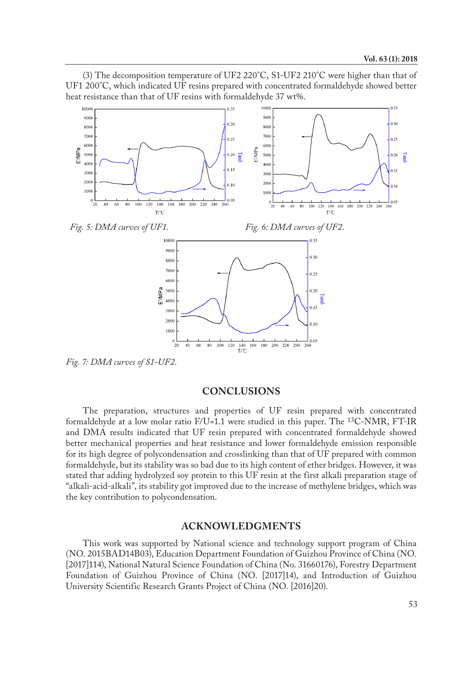(3) The decomposition temperature of UF2 220°C, S1-UF2 210°C were higher than that of UF1 200°C, which indicated UF resins prepared with concentrated formaldehyde showed better heat resistance than that of UF resins with formaldehyde 37 wt%.



*Fig. 7: DMA curves of S1-UF2.*

## **CONCLUSIONS**

The preparation, structures and properties of UF resin prepared with concentrated formaldehyde at a low molar ratio  $F/U$ =1.1 were studied in this paper. The <sup>13</sup>C-NMR, FT-IR and DMA results indicated that UF resin prepared with concentrated formaldehyde showed better mechanical properties and heat resistance and lower formaldehyde emission responsible for its high degree of polycondensation and crosslinking than that of UF prepared with common formaldehyde, but its stability was so bad due to its high content of ether bridges. However, it was stated that adding hydrolyzed soy protein to this UF resin at the first alkali preparation stage of "alkali-acid-alkali", its stability got improved due to the increase of methylene bridges, which was the key contribution to polycondensation.

## **ACKNOWLEDGMENTS**

This work was supported by National science and technology support program of China (NO. 2015BAD14B03), Education Department Foundation of Guizhou Province of China (NO. [2017]114), National Natural Science Foundation of China (No. 31660176), Forestry Department Foundation of Guizhou Province of China (NO. [2017]14), and Introduction of Guizhou University Scientific Research Grants Project of China (NO. [2016]20).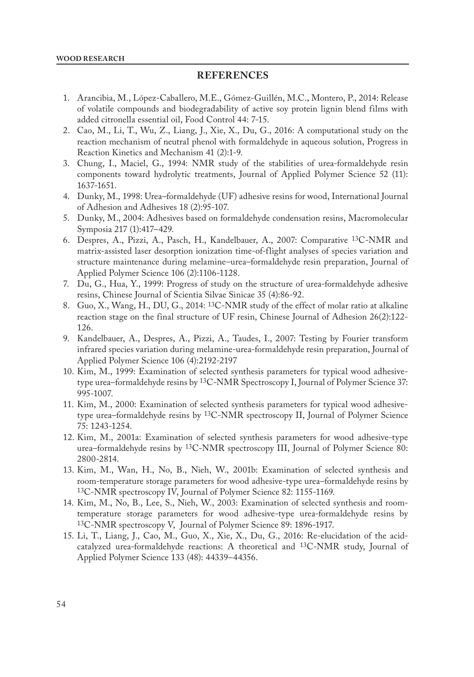# **REFERENCES**

- 1. Arancibia, M., López-Caballero, M.E., Gómez-Guillén, M.C., Montero, P., 2014: Release of volatile compounds and biodegradability of active soy protein lignin blend films with added citronella essential oil, Food Control 44: 7-15.
- 2. Cao, M., Li, T., Wu, Z., Liang, J., Xie, X., Du, G., 2016: A computational study on the reaction mechanism of neutral phenol with formaldehyde in aqueous solution, Progress in Reaction Kinetics and Mechanism 41 (2):1-9.
- 3. Chung, I., Maciel, G., 1994: NMR study of the stabilities of urea-formaldehyde resin components toward hydrolytic treatments, Journal of Applied Polymer Science 52 (11): 1637-1651.
- 4. Dunky, M., 1998: Urea–formaldehyde (UF) adhesive resins for wood, International Journal of Adhesion and Adhesives 18 (2):95-107.
- 5. Dunky, M., 2004: Adhesives based on formaldehyde condensation resins, Macromolecular Symposia 217 (1):417–429.
- 6. Despres, A., Pizzi, A., Pasch, H., Kandelbauer, A., 2007: Comparative 13C-NMR and matrix-assisted laser desorption ionization time-of-flight analyses of species variation and structure maintenance during melamine–urea–formaldehyde resin preparation, Journal of Applied Polymer Science 106 (2):1106-1128.
- 7. Du, G., Hua, Y., 1999: Progress of study on the structure of urea-formaldehyde adhesive resins, Chinese Journal of Scientia Silvae Sinicae 35 (4):86-92.
- 8. Guo, X., Wang, H., DU, G., 2014: 13C-NMR study of the effect of molar ratio at alkaline reaction stage on the final structure of UF resin, Chinese Journal of Adhesion 26(2):122- 126.
- 9. Kandelbauer, A., Despres, A., Pizzi, A., Taudes, I., 2007: Testing by Fourier transform infrared species variation during melamine-urea-formaldehyde resin preparation, Journal of Applied Polymer Science 106 (4):2192-2197
- 10. Kim, M., 1999: Examination of selected synthesis parameters for typical wood adhesivetype urea–formaldehyde resins by  $^{13}$ C-NMR Spectroscopy I, Journal of Polymer Science 37: 995-1007.
- 11. Kim, M., 2000: Examination of selected synthesis parameters for typical wood adhesivetype urea–formaldehyde resins by 13C-NMR spectroscopy II, Journal of Polymer Science 75: 1243-1254.
- 12. Kim, M., 2001a: Examination of selected synthesis parameters for wood adhesive-type urea–formaldehyde resins by 13C-NMR spectroscopy III, Journal of Polymer Science 80: 2800-2814.
- 13. Kim, M., Wan, H., No, B., Nieh, W., 2001b: Examination of selected synthesis and room-temperature storage parameters for wood adhesive-type urea–formaldehyde resins by 13C-NMR spectroscopy IV, Journal of Polymer Science 82: 1155-1169.
- 14. Kim, M., No, B., Lee, S., Nieh, W., 2003: Examination of selected synthesis and roomtemperature storage parameters for wood adhesive-type urea-formaldehyde resins by 13C-NMR spectroscopy V, Journal of Polymer Science 89: 1896-1917.
- 15. Li, T., Liang, J., Cao, M., Guo, X., Xie, X., Du, G., 2016: Re-elucidation of the acidcatalyzed urea-formaldehyde reactions: A theoretical and 13C-NMR study, Journal of Applied Polymer Science 133 (48): 44339–44356.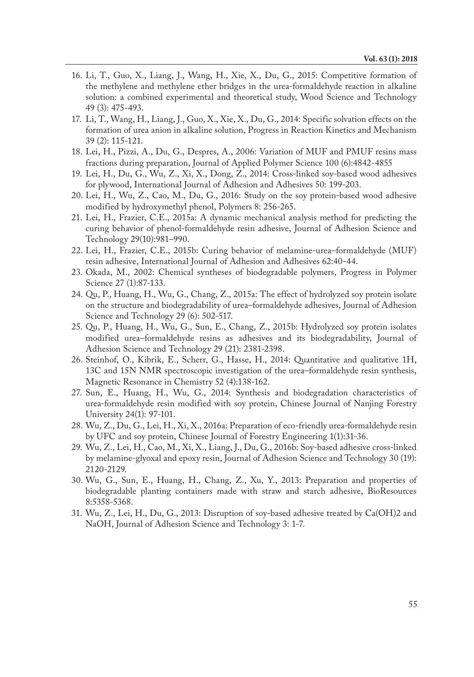- 16. Li, T., Guo, X., Liang, J., Wang, H., Xie, X., Du, G., 2015: Competitive formation of the methylene and methylene ether bridges in the urea-formaldehyde reaction in alkaline solution: a combined experimental and theoretical study, Wood Science and Technology 49 (3): 475-493.
- 17. Li, T., Wang, H., Liang, J., Guo, X., Xie, X., Du, G., 2014: Specific solvation effects on the formation of urea anion in alkaline solution, Progress in Reaction Kinetics and Mechanism 39 (2): 115-121.
- 18. Lei, H., Pizzi, A., Du, G., Despres, A., 2006: Variation of MUF and PMUF resins mass fractions during preparation, Journal of Applied Polymer Science 100 (6):4842-4855
- 19. Lei, H., Du, G., Wu, Z., Xi, X., Dong, Z., 2014: Cross-linked soy-based wood adhesives for plywood, International Journal of Adhesion and Adhesives 50: 199-203.
- 20. Lei, H., Wu, Z., Cao, M., Du, G., 2016: Study on the soy protein-based wood adhesive modified by hydroxymethyl phenol, Polymers 8: 256-265.
- 21. Lei, H., Frazier, C.E., 2015a: A dynamic mechanical analysis method for predicting the curing behavior of phenol-formaldehyde resin adhesive, Journal of Adhesion Science and Technology 29(10):981–990.
- 22. Lei, H., Frazier, C.E., 2015b: Curing behavior of melamine-urea–formaldehyde (MUF) resin adhesive, International Journal of Adhesion and Adhesives 62:40-44.
- 23. Okada, M., 2002: Chemical syntheses of biodegradable polymers, Progress in Polymer Science 27 (1):87-133.
- 24. Qu, P., Huang, H., Wu, G., Chang, Z., 2015a: The effect of hydrolyzed soy protein isolate on the structure and biodegradability of urea–formaldehyde adhesives, Journal of Adhesion Science and Technology 29 (6): 502-517.
- 25. Qu, P., Huang, H., Wu, G., Sun, E., Chang, Z., 2015b: Hydrolyzed soy protein isolates modified urea–formaldehyde resins as adhesives and its biodegradability, Journal of Adhesion Science and Technology 29 (21): 2381-2398.
- 26. Steinhof, O., Kibrik, E., Scherr, G., Hasse, H., 2014: Quantitative and qualitative 1H, 13C and 15N NMR spectroscopic investigation of the urea–formaldehyde resin synthesis, Magnetic Resonance in Chemistry 52 (4):138-162.
- 27. Sun, E., Huang, H., Wu, G., 2014: Synthesis and biodegradation characteristics of urea-formaldehyde resin modified with soy protein, Chinese Journal of Nanjing Forestry University 24(1): 97-101.
- 28. Wu, Z., Du, G., Lei, H., Xi, X., 2016a: Preparation of eco-friendly urea-formaldehyde resin by UFC and soy protein, Chinese Journal of Forestry Engineering 1(1):31-36.
- 29. Wu, Z., Lei, H., Cao, M., Xi, X., Liang, J., Du, G., 2016b: Soy-based adhesive cross-linked by melamine-glyoxal and epoxy resin, Journal of Adhesion Science and Technology 30 (19): 2120-2129.
- 30. Wu, G., Sun, E., Huang, H., Chang, Z., Xu, Y., 2013: Preparation and properties of biodegradable planting containers made with straw and starch adhesive, BioResources 8:5358-5368.
- 31. Wu, Z., Lei, H., Du, G., 2013: Disruption of soy-based adhesive treated by Ca(OH)2 and NaOH, Journal of Adhesion Science and Technology 3: 1-7.